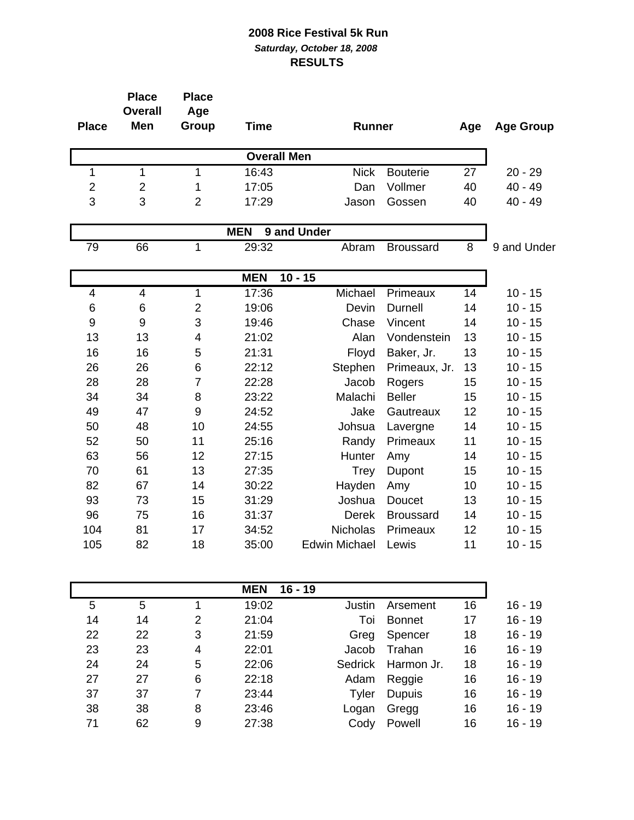| <b>Place</b>              | <b>Place</b><br><b>Overall</b><br>Men | <b>Place</b><br>Age<br><b>Group</b> | <b>Time</b>        | <b>Runner</b>        |                  | Age | <b>Age Group</b> |
|---------------------------|---------------------------------------|-------------------------------------|--------------------|----------------------|------------------|-----|------------------|
|                           |                                       |                                     | <b>Overall Men</b> |                      |                  |     |                  |
| 1                         | 1                                     | $\mathbf{1}$                        | 16:43              | <b>Nick</b>          | <b>Bouterie</b>  | 27  | $20 - 29$        |
| $\overline{\mathbf{c}}$   | $\overline{2}$                        | 1                                   | 17:05              | Dan                  | Vollmer          | 40  | $40 - 49$        |
| 3                         | 3                                     | $\overline{2}$                      | 17:29              | Jason                | Gossen           | 40  | $40 - 49$        |
| <b>MEN</b><br>9 and Under |                                       |                                     |                    |                      |                  |     |                  |
| 79                        | 66                                    | 1                                   | 29:32              | Abram                | <b>Broussard</b> | 8   | 9 and Under      |
|                           |                                       |                                     | <b>MEN</b>         | $10 - 15$            |                  |     |                  |
| 4                         | 4                                     | 1                                   | 17:36              | Michael              | Primeaux         | 14  | $10 - 15$        |
| 6                         | 6                                     | $\overline{2}$                      | 19:06              | Devin                | <b>Durnell</b>   | 14  | $10 - 15$        |
| 9                         | $\boldsymbol{9}$                      | 3                                   | 19:46              | Chase                | Vincent          | 14  | $10 - 15$        |
| 13                        | 13                                    | 4                                   | 21:02              | Alan                 | Vondenstein      | 13  | $10 - 15$        |
| 16                        | 16                                    | 5                                   | 21:31              | Floyd                | Baker, Jr.       | 13  | $10 - 15$        |
| 26                        | 26                                    | 6                                   | 22:12              | Stephen              | Primeaux, Jr.    | 13  | $10 - 15$        |
| 28                        | 28                                    | $\overline{7}$                      | 22:28              | Jacob                | Rogers           | 15  | $10 - 15$        |
| 34                        | 34                                    | 8                                   | 23:22              | Malachi              | <b>Beller</b>    | 15  | $10 - 15$        |
| 49                        | 47                                    | 9                                   | 24:52              | Jake                 | Gautreaux        | 12  | $10 - 15$        |
| 50                        | 48                                    | 10                                  | 24:55              | Johsua               | Lavergne         | 14  | $10 - 15$        |
| 52                        | 50                                    | 11                                  | 25:16              | Randy                | Primeaux         | 11  | $10 - 15$        |
| 63                        | 56                                    | 12                                  | 27:15              | Hunter               | Amy              | 14  | $10 - 15$        |
| 70                        | 61                                    | 13                                  | 27:35              | <b>Trey</b>          | Dupont           | 15  | $10 - 15$        |
| 82                        | 67                                    | 14                                  | 30:22              | Hayden               | Amy              | 10  | $10 - 15$        |
| 93                        | 73                                    | 15                                  | 31:29              | Joshua               | Doucet           | 13  | $10 - 15$        |
| 96                        | 75                                    | 16                                  | 31:37              | Derek                | <b>Broussard</b> | 14  | $10 - 15$        |
| 104                       | 81                                    | 17                                  | 34:52              | Nicholas             | Primeaux         | 12  | $10 - 15$        |
| 105                       | 82                                    | 18                                  | 35:00              | <b>Edwin Michael</b> | Lewis            | 11  | $10 - 15$        |
|                           |                                       |                                     | <b>MENL</b>        | 1 C<br>10            |                  |     |                  |

|    |    |   | <b>MEN</b><br>$16 - 19$ |        |                    |    |           |
|----|----|---|-------------------------|--------|--------------------|----|-----------|
| 5  | 5  |   | 19:02                   | Justin | Arsement           | 16 | $16 - 19$ |
| 14 | 14 | 2 | 21:04                   | Toi    | <b>Bonnet</b>      | 17 | $16 - 19$ |
| 22 | 22 | 3 | 21:59                   | Greg   | Spencer            | 18 | $16 - 19$ |
| 23 | 23 | 4 | 22:01                   | Jacob  | Trahan             | 16 | $16 - 19$ |
| 24 | 24 | 5 | 22:06                   |        | Sedrick Harmon Jr. | 18 | $16 - 19$ |
| 27 | 27 | 6 | 22:18                   | Adam   | Reggie             | 16 | $16 - 19$ |
| 37 | 37 | 7 | 23:44                   | Tyler  | <b>Dupuis</b>      | 16 | $16 - 19$ |
| 38 | 38 | 8 | 23:46                   | Logan  | Gregg              | 16 | $16 - 19$ |
| 71 | 62 | 9 | 27:38                   | Cody   | Powell             | 16 | $16 - 19$ |
|    |    |   |                         |        |                    |    |           |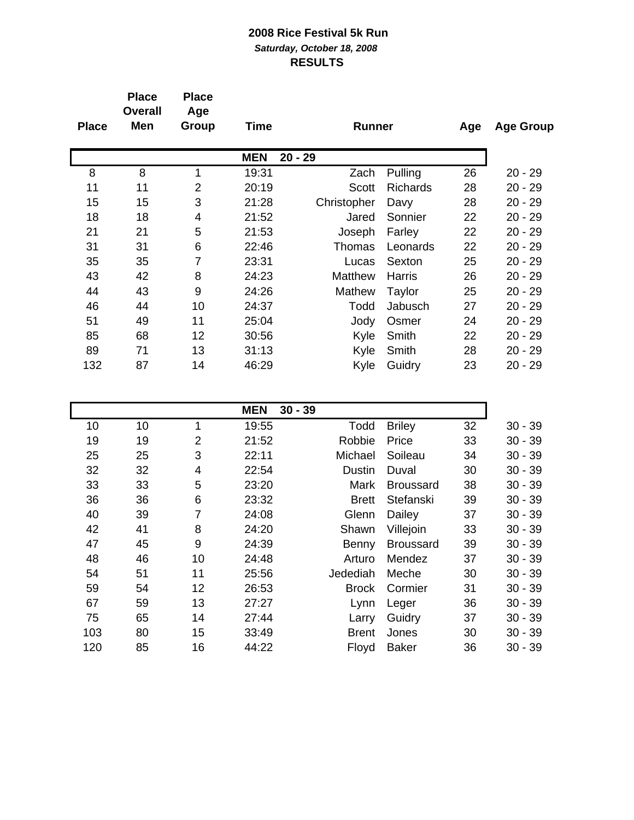| <b>Place</b> | <b>Place</b><br><b>Overall</b><br>Men | <b>Place</b><br>Age<br>Group | Time       | <b>Runner</b> |                 | Age | <b>Age Group</b> |
|--------------|---------------------------------------|------------------------------|------------|---------------|-----------------|-----|------------------|
|              |                                       |                              | <b>MEN</b> | $20 - 29$     |                 |     |                  |
| 8            | 8                                     | 1                            | 19:31      | Zach          | Pulling         | 26  | $20 - 29$        |
| 11           | 11                                    | 2                            | 20:19      | <b>Scott</b>  | <b>Richards</b> | 28  | $20 - 29$        |
| 15           | 15                                    | 3                            | 21:28      | Christopher   | Davy            | 28  | $20 - 29$        |
| 18           | 18                                    | 4                            | 21:52      | Jared         | Sonnier         | 22  | $20 - 29$        |
| 21           | 21                                    | 5                            | 21:53      | Joseph        | Farley          | 22  | $20 - 29$        |
| 31           | 31                                    | 6                            | 22:46      | Thomas        | Leonards        | 22  | $20 - 29$        |
| 35           | 35                                    | 7                            | 23:31      | Lucas         | Sexton          | 25  | $20 - 29$        |
| 43           | 42                                    | 8                            | 24:23      | Matthew       | Harris          | 26  | $20 - 29$        |
| 44           | 43                                    | 9                            | 24:26      | Mathew        | Taylor          | 25  | $20 - 29$        |
| 46           | 44                                    | 10                           | 24:37      | Todd          | Jabusch         | 27  | $20 - 29$        |
| 51           | 49                                    | 11                           | 25:04      | Jody          | Osmer           | 24  | $20 - 29$        |
| 85           | 68                                    | 12                           | 30:56      | Kyle          | Smith           | 22  | $20 - 29$        |
| 89           | 71                                    | 13                           | 31:13      | Kyle          | Smith           | 28  | $20 - 29$        |
| 132          | 87                                    | 14                           | 46:29      | Kyle          | Guidry          | 23  | $20 - 29$        |
|              |                                       |                              |            |               |                 |     |                  |

|     |    |                | <b>MEN</b><br>$30 - 39$ |               |                  |    |           |
|-----|----|----------------|-------------------------|---------------|------------------|----|-----------|
| 10  | 10 | 1              | 19:55                   | Todd          | <b>Briley</b>    | 32 | $30 - 39$ |
| 19  | 19 | $\overline{2}$ | 21:52                   | Robbie        | Price            | 33 | $30 - 39$ |
| 25  | 25 | 3              | 22:11                   | Michael       | Soileau          | 34 | $30 - 39$ |
| 32  | 32 | 4              | 22:54                   | <b>Dustin</b> | Duval            | 30 | $30 - 39$ |
| 33  | 33 | 5              | 23:20                   | Mark          | <b>Broussard</b> | 38 | $30 - 39$ |
| 36  | 36 | 6              | 23:32                   | <b>Brett</b>  | Stefanski        | 39 | $30 - 39$ |
| 40  | 39 | 7              | 24:08                   | Glenn         | Dailey           | 37 | $30 - 39$ |
| 42  | 41 | 8              | 24:20                   | Shawn         | Villejoin        | 33 | $30 - 39$ |
| 47  | 45 | 9              | 24:39                   | Benny         | <b>Broussard</b> | 39 | $30 - 39$ |
| 48  | 46 | 10             | 24:48                   | Arturo        | Mendez           | 37 | $30 - 39$ |
| 54  | 51 | 11             | 25:56                   | Jedediah      | Meche            | 30 | $30 - 39$ |
| 59  | 54 | 12             | 26:53                   | <b>Brock</b>  | Cormier          | 31 | $30 - 39$ |
| 67  | 59 | 13             | 27:27                   | Lynn          | Leger            | 36 | $30 - 39$ |
| 75  | 65 | 14             | 27:44                   | Larry         | Guidry           | 37 | $30 - 39$ |
| 103 | 80 | 15             | 33:49                   | <b>Brent</b>  | Jones            | 30 | $30 - 39$ |
| 120 | 85 | 16             | 44:22                   | Floyd         | <b>Baker</b>     | 36 | $30 - 39$ |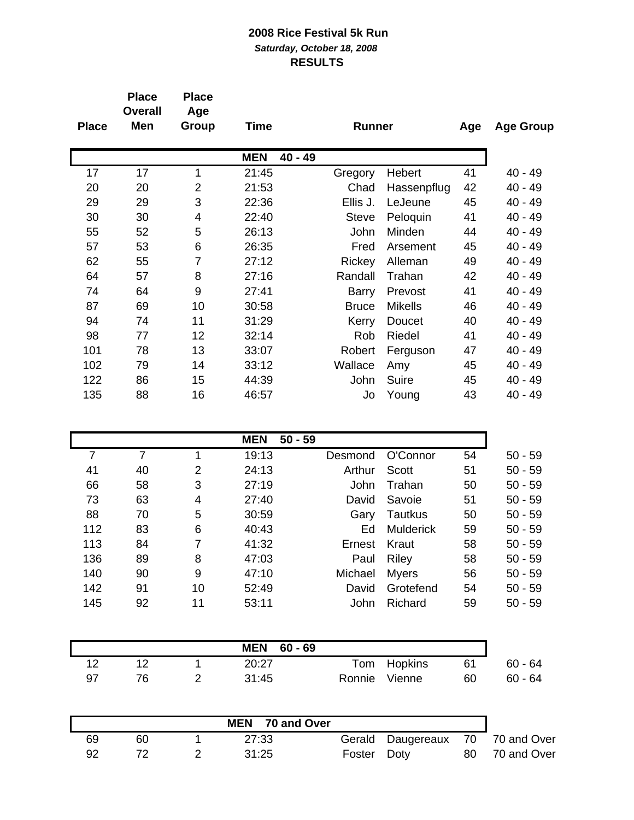|              | <b>Place</b><br><b>Overall</b> | <b>Place</b><br>Age |                         |               |                |     |                  |
|--------------|--------------------------------|---------------------|-------------------------|---------------|----------------|-----|------------------|
| <b>Place</b> | Men                            | Group               | Time                    | <b>Runner</b> |                | Age | <b>Age Group</b> |
|              |                                |                     | <b>MEN</b><br>$40 - 49$ |               |                |     |                  |
| 17           | 17                             | 1                   | 21:45                   | Gregory       | Hebert         | 41  | $40 - 49$        |
| 20           | 20                             | $\overline{2}$      | 21:53                   | Chad          | Hassenpflug    | 42  | 40 - 49          |
| 29           | 29                             | 3                   | 22:36                   | Ellis J.      | LeJeune        | 45  | $40 - 49$        |
| 30           | 30                             | 4                   | 22:40                   | <b>Steve</b>  | Peloquin       | 41  | 40 - 49          |
| 55           | 52                             | 5                   | 26:13                   | John          | Minden         | 44  | $40 - 49$        |
| 57           | 53                             | 6                   | 26:35                   | Fred          | Arsement       | 45  | 40 - 49          |
| 62           | 55                             | 7                   | 27:12                   | Rickey        | Alleman        | 49  | $40 - 49$        |
| 64           | 57                             | 8                   | 27:16                   | Randall       | Trahan         | 42  | 40 - 49          |
| 74           | 64                             | 9                   | 27:41                   | Barry         | Prevost        | 41  | $40 - 49$        |
| 87           | 69                             | 10                  | 30:58                   | <b>Bruce</b>  | <b>Mikells</b> | 46  | 40 - 49          |
| 94           | 74                             | 11                  | 31:29                   | Kerry         | Doucet         | 40  | $40 - 49$        |
| 98           | 77                             | 12                  | 32:14                   | Rob           | Riedel         | 41  | 40 - 49          |
| 101          | 78                             | 13                  | 33:07                   | Robert        | Ferguson       | 47  | 40 - 49          |
| 102          | 79                             | 14                  | 33:12                   | Wallace       | Amy            | 45  | $40 - 49$        |
| 122          | 86                             | 15                  | 44:39                   | John          | Suire          | 45  | 40 - 49          |
| 135          | 88                             | 16                  | 46:57                   | Jo            | Young          | 43  | 40 - 49          |

|     |    |    | <b>MEN</b><br>$50 - 59$ |             |                  |    |           |
|-----|----|----|-------------------------|-------------|------------------|----|-----------|
|     |    | 1  | 19:13                   | Desmond     | O'Connor         | 54 | $50 - 59$ |
| 41  | 40 | 2  | 24:13                   | Arthur      | Scott            | 51 | $50 - 59$ |
| 66  | 58 | 3  | 27:19                   | <b>John</b> | Trahan           | 50 | $50 - 59$ |
| 73  | 63 | 4  | 27:40                   | David       | Savoie           | 51 | $50 - 59$ |
| 88  | 70 | 5  | 30:59                   | Gary        | Tautkus          | 50 | $50 - 59$ |
| 112 | 83 | 6  | 40:43                   | Ed          | <b>Mulderick</b> | 59 | $50 - 59$ |
| 113 | 84 | 7  | 41:32                   | Ernest      | Kraut            | 58 | $50 - 59$ |
| 136 | 89 | 8  | 47:03                   | Paul        | <b>Riley</b>     | 58 | $50 - 59$ |
| 140 | 90 | 9  | 47:10                   | Michael     | <b>Myers</b>     | 56 | $50 - 59$ |
| 142 | 91 | 10 | 52:49                   | David       | Grotefend        | 54 | $50 - 59$ |
| 145 | 92 | 11 | 53:11                   | John        | Richard          | 59 | $50 - 59$ |

|    |    | <b>MEN 60-69</b> |        |             |    |           |
|----|----|------------------|--------|-------------|----|-----------|
|    |    | 20:27            |        | Tom Hopkins | 61 | $60 - 64$ |
| 97 | 76 | 31:45            | Ronnie | Vienne      | 60 | $60 - 64$ |

|    |    | MEN 70 and Over |             |                                  |                |
|----|----|-----------------|-------------|----------------------------------|----------------|
| 69 | 60 | 27:33           |             | Gerald Daugereaux 70 70 and Over |                |
| 92 |    | 31:25           | Foster Doty |                                  | 80 70 and Over |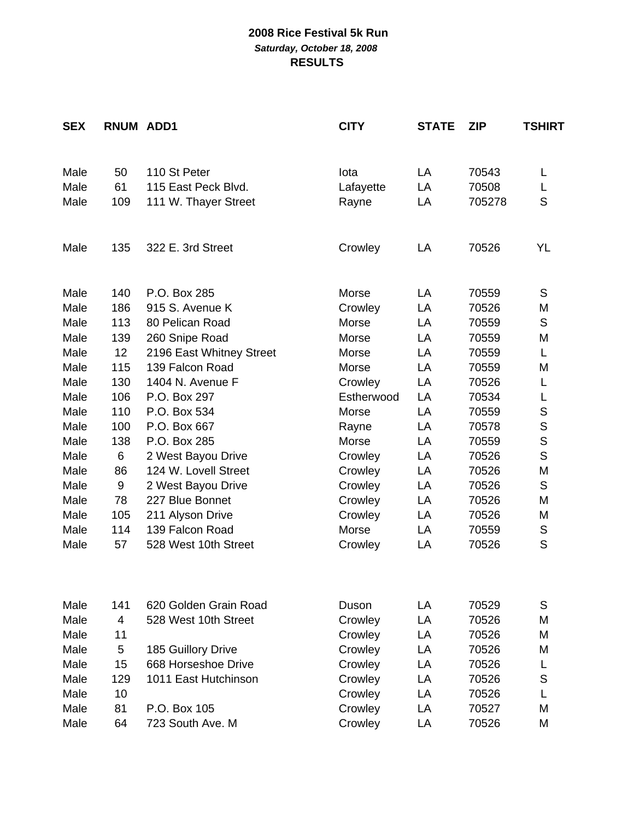| <b>SEX</b>   | RNUM ADD1       |                                           | <b>CITY</b> | <b>STATE</b> | <b>ZIP</b>     | TSHIRT |
|--------------|-----------------|-------------------------------------------|-------------|--------------|----------------|--------|
|              |                 |                                           |             |              |                |        |
| Male         | 50              | 110 St Peter                              | lota        | LA           | 70543          | L      |
| Male         | 61              | 115 East Peck Blvd.                       | Lafayette   | LA           | 70508          | L      |
| Male         | 109             | 111 W. Thayer Street                      | Rayne       | LA           | 705278         | S      |
| Male         | 135             | 322 E. 3rd Street                         | Crowley     | LA           | 70526          | YL     |
| Male         | 140             | P.O. Box 285                              | Morse       | LA           | 70559          | S      |
| Male         | 186             | 915 S. Avenue K                           | Crowley     | LA           | 70526          | M      |
| Male         | 113             | 80 Pelican Road                           | Morse       | LA           | 70559          | S      |
| Male         | 139             | 260 Snipe Road                            | Morse       | LA           | 70559          | M      |
| Male         | 12 <sub>2</sub> | 2196 East Whitney Street                  | Morse       | LA           | 70559          | L      |
| Male         | 115             | 139 Falcon Road                           | Morse       | LA           | 70559          | M      |
| Male         | 130             | 1404 N. Avenue F                          | Crowley     | LA           | 70526          | L      |
| Male         | 106             | P.O. Box 297                              | Estherwood  | LA           | 70534          | L      |
| Male         | 110             | P.O. Box 534                              | Morse       | LA           | 70559          | S      |
| Male         | 100             | P.O. Box 667                              | Rayne       | LA           | 70578          | S      |
| Male         | 138             | P.O. Box 285                              | Morse       | LA           | 70559          | S      |
| Male         | 6               | 2 West Bayou Drive                        | Crowley     | LA           | 70526          | S      |
| Male         | 86              | 124 W. Lovell Street                      | Crowley     | LA           | 70526          | M      |
| Male         | 9               | 2 West Bayou Drive                        | Crowley     | LA           | 70526          | S      |
| Male         | 78              | 227 Blue Bonnet                           | Crowley     | LA           | 70526          | M      |
| Male         | 105             | 211 Alyson Drive                          | Crowley     | LA           | 70526          | M      |
| Male         | 114             | 139 Falcon Road                           | Morse       | LA           | 70559          | S      |
| Male         | 57              | 528 West 10th Street                      | Crowley     | LA           | 70526          | S      |
| Male         | 141             | 620 Golden Grain Road                     | Duson       | LA           | 70529          | S      |
| Male         | $\overline{4}$  | 528 West 10th Street                      | Crowley     | <b>LA</b>    | 70526          | M      |
| Male         | 11              |                                           |             | LA           | 70526          | M      |
| Male         | 5               |                                           | Crowley     | LA           | 70526          | M      |
| Male         | 15              | 185 Guillory Drive<br>668 Horseshoe Drive | Crowley     | LA           | 70526          |        |
|              |                 |                                           | Crowley     |              |                | L      |
| Male         | 129             | 1011 East Hutchinson                      | Crowley     | LA           | 70526          | S      |
| Male         | 10              |                                           | Crowley     | LA           | 70526          | L      |
| Male<br>Male | 81<br>64        | P.O. Box 105<br>723 South Ave. M          | Crowley     | LA           | 70527<br>70526 | M      |
|              |                 |                                           | Crowley     | LA           |                | M      |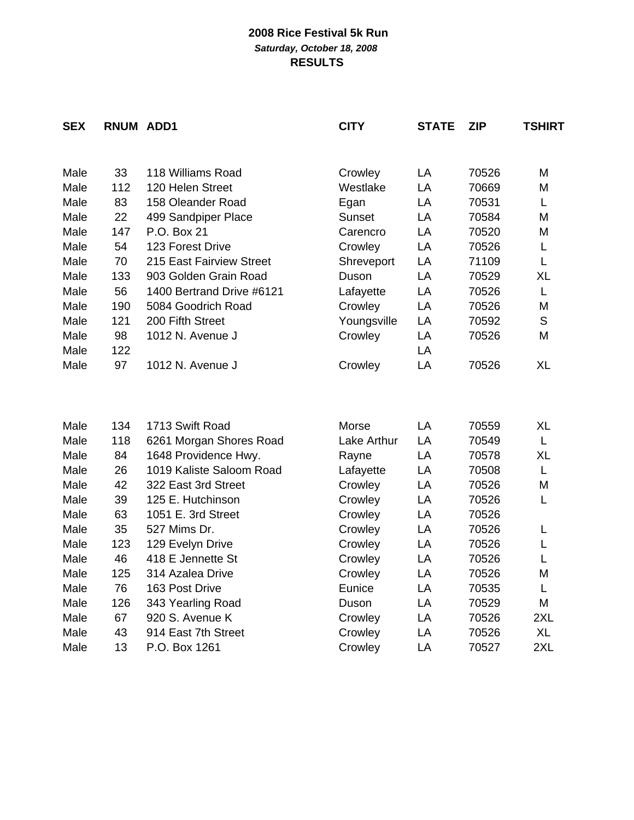| <b>SEX</b> | RNUM ADD1 |                           | <b>CITY</b> | <b>STATE</b> | <b>ZIP</b> | TSHIRT    |
|------------|-----------|---------------------------|-------------|--------------|------------|-----------|
|            |           |                           |             |              |            |           |
| Male       | 33        | 118 Williams Road         | Crowley     | LA           | 70526      | M         |
| Male       | 112       | 120 Helen Street          | Westlake    | LA           | 70669      | M         |
| Male       | 83        | 158 Oleander Road         | Egan        | LA           | 70531      | Г         |
| Male       | 22        | 499 Sandpiper Place       | Sunset      | LA           | 70584      | M         |
| Male       | 147       | P.O. Box 21               | Carencro    | LA           | 70520      | M         |
| Male       | 54        | 123 Forest Drive          | Crowley     | LA           | 70526      | L         |
| Male       | 70        | 215 East Fairview Street  | Shreveport  | LA           | 71109      | L         |
| Male       | 133       | 903 Golden Grain Road     | Duson       | LA           | 70529      | <b>XL</b> |
| Male       | 56        | 1400 Bertrand Drive #6121 | Lafayette   | LA           | 70526      | L         |
| Male       | 190       | 5084 Goodrich Road        | Crowley     | LA           | 70526      | M         |
| Male       | 121       | 200 Fifth Street          | Youngsville | LA           | 70592      | S         |
| Male       | 98        | 1012 N. Avenue J          | Crowley     | LA           | 70526      | M         |
| Male       | 122       |                           |             | LA           |            |           |
| Male       | 97        | 1012 N. Avenue J          | Crowley     | LA           | 70526      | <b>XL</b> |
|            |           |                           |             |              |            |           |
| Male       | 134       | 1713 Swift Road           | Morse       | LA           | 70559      | XL        |
| Male       | 118       | 6261 Morgan Shores Road   | Lake Arthur | LA           | 70549      | L         |
| Male       | 84        | 1648 Providence Hwy.      | Rayne       | LA           | 70578      | <b>XL</b> |
| Male       | 26        | 1019 Kaliste Saloom Road  | Lafayette   | LA           | 70508      | L         |
| Male       | 42        | 322 East 3rd Street       | Crowley     | LA           | 70526      | M         |
| Male       | 39        | 125 E. Hutchinson         | Crowley     | LA           | 70526      | Г         |
| Male       | 63        | 1051 E. 3rd Street        | Crowley     | LA           | 70526      |           |
| Male       | 35        | 527 Mims Dr.              | Crowley     | LA           | 70526      | L         |
| Male       | 123       | 129 Evelyn Drive          | Crowley     | LA           | 70526      | L         |
| Male       | 46        | 418 E Jennette St         | Crowley     | LA           | 70526      | L         |
| Male       | 125       | 314 Azalea Drive          | Crowley     | LA           | 70526      | M         |
| Male       | 76        | 163 Post Drive            | Eunice      | LA           | 70535      | L         |
| Male       | 126       | 343 Yearling Road         | Duson       | LA           | 70529      | M         |
| Male       | 67        | 920 S. Avenue K           | Crowley     | LA           | 70526      | 2XL       |
| Male       | 43        | 914 East 7th Street       | Crowley     | LA           | 70526      | <b>XL</b> |
| Male       | 13        | P.O. Box 1261             |             | LA           | 70527      | 2XL       |
|            |           |                           | Crowley     |              |            |           |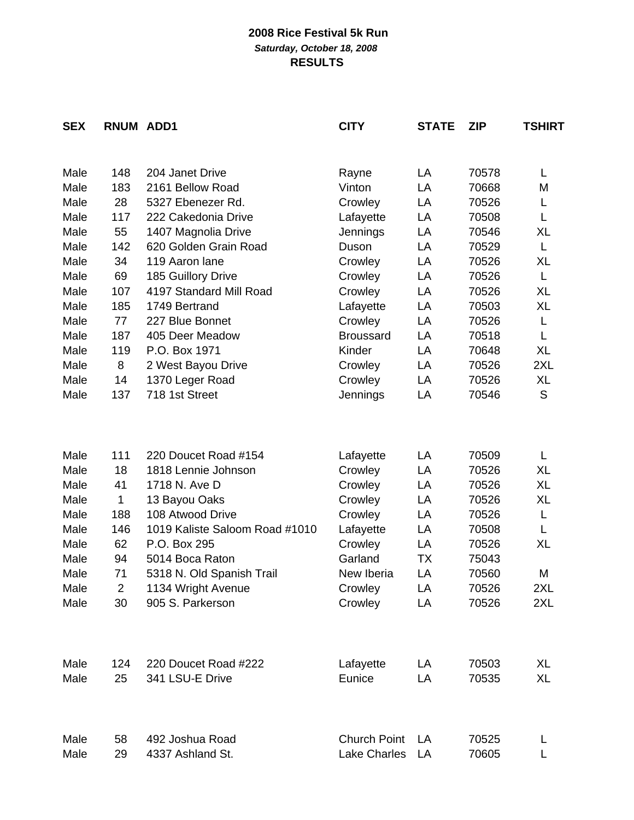| <b>SEX</b> | RNUM ADD1      |                                        | <b>CITY</b>         | <b>STATE</b> | <b>ZIP</b> | <b>TSHIRT</b> |
|------------|----------------|----------------------------------------|---------------------|--------------|------------|---------------|
|            |                |                                        |                     |              |            |               |
| Male       | 148            | 204 Janet Drive                        | Rayne               | LA           | 70578      | L             |
| Male       | 183            | 2161 Bellow Road                       | Vinton              | LA           | 70668      | M             |
| Male       | 28             | 5327 Ebenezer Rd.                      | Crowley             | LA           | 70526      | L             |
| Male       | 117            | 222 Cakedonia Drive                    | Lafayette           | LA           | 70508      | L             |
| Male       | 55             | 1407 Magnolia Drive                    | Jennings            | LA           | 70546      | XL            |
| Male       | 142            | 620 Golden Grain Road                  | Duson               | LA           | 70529      | L             |
| Male       | 34             | 119 Aaron lane                         | Crowley             | LA           | 70526      | XL            |
| Male       | 69             | 185 Guillory Drive                     | Crowley             | LA           | 70526      | L             |
| Male       | 107            | 4197 Standard Mill Road                | Crowley             | LA           | 70526      | XL            |
| Male       | 185            | 1749 Bertrand                          | Lafayette           | LA           | 70503      | <b>XL</b>     |
| Male       | 77             | 227 Blue Bonnet                        | Crowley             | LA           | 70526      | L             |
| Male       | 187            | 405 Deer Meadow                        | <b>Broussard</b>    | LA           | 70518      | L             |
| Male       | 119            | P.O. Box 1971                          | Kinder              | LA           | 70648      | <b>XL</b>     |
| Male       | 8              | 2 West Bayou Drive                     | Crowley             | LA           | 70526      | 2XL           |
| Male       | 14             | 1370 Leger Road                        | Crowley             | LA           | 70526      | XL            |
| Male       | 137            | 718 1st Street                         | Jennings            | LA           | 70546      | S             |
|            |                |                                        |                     |              |            |               |
| Male       | 111            | 220 Doucet Road #154                   | Lafayette           | LA           | 70509      | Г             |
| Male       | 18             | 1818 Lennie Johnson                    | Crowley             | LA           | 70526      | XL            |
| Male       | 41             | 1718 N. Ave D                          | Crowley             | LA           | 70526      | XL            |
| Male       | 1              | 13 Bayou Oaks                          | Crowley             | LA           | 70526      | XL            |
| Male       | 188            | 108 Atwood Drive                       | Crowley             | LA           | 70526      | L             |
| Male       | 146            | 1019 Kaliste Saloom Road #1010         | Lafayette           | LA           | 70508      | L             |
| Male       | 62             | P.O. Box 295                           | Crowley             | LA           | 70526      | XL            |
| Male       | 94             | 5014 Boca Raton                        | Garland             | TX           | 75043      |               |
| Male       | 71             | 5318 N. Old Spanish Trail              | New Iberia          | LA           | 70560      | M             |
| Male       | $\overline{2}$ |                                        | Crowley             |              | 70526      | 2XL           |
| Male       | 30             | 1134 Wright Avenue<br>905 S. Parkerson | Crowley             | LA<br>LA     | 70526      | 2XL           |
|            |                |                                        |                     |              |            |               |
|            |                |                                        |                     |              |            |               |
| Male       | 124            | 220 Doucet Road #222                   | Lafayette           | LA           | 70503      | XL            |
| Male       | 25             | 341 LSU-E Drive                        | Eunice              | LA           | 70535      | <b>XL</b>     |
|            |                |                                        |                     |              |            |               |
| Male       | 58             | 492 Joshua Road                        | <b>Church Point</b> | LA           | 70525      | L             |
| Male       | 29             | 4337 Ashland St.                       | Lake Charles        | LA           | 70605      |               |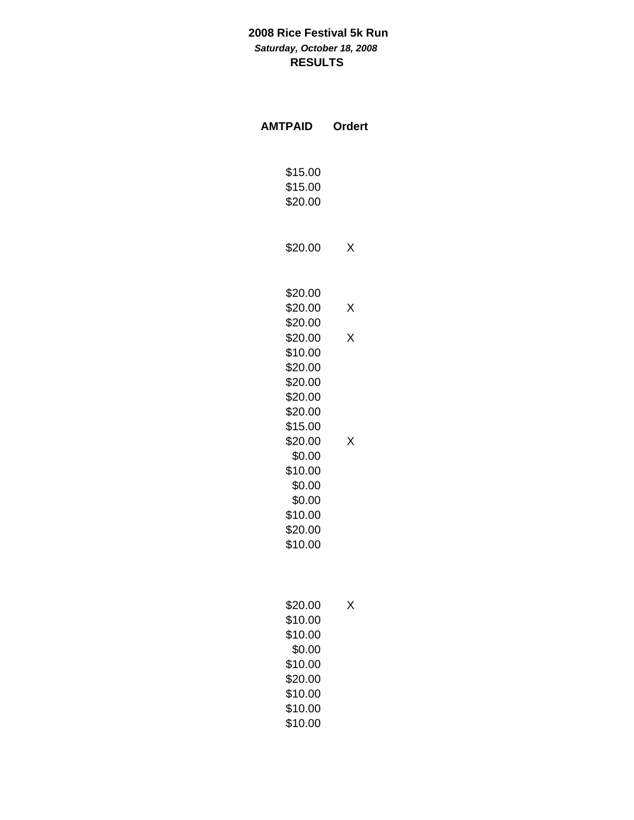| <b>AMTPAID</b>     | <b>Ordert</b> |  |  |
|--------------------|---------------|--|--|
| \$15.00<br>\$15.00 |               |  |  |
| \$20.00            |               |  |  |
| \$20.00            | х             |  |  |
| \$20.00<br>\$20.00 |               |  |  |
| \$20.00            | $\times$      |  |  |
| \$20.00            | X             |  |  |
| \$10.00            |               |  |  |
| \$20.00            |               |  |  |
| \$20.00            |               |  |  |
| \$20.00<br>\$20.00 |               |  |  |
| \$15.00            |               |  |  |
| \$20.00            | x             |  |  |
| \$0.00             |               |  |  |
| \$10.00            |               |  |  |
| \$0.00             |               |  |  |
| \$0.00             |               |  |  |
| \$10.00            |               |  |  |
| \$20.00<br>\$10.00 |               |  |  |
|                    |               |  |  |
| \$20.00            | x             |  |  |
| \$10.00            |               |  |  |
| \$10.00<br>\$0.00  |               |  |  |
| \$10.00            |               |  |  |
| \$20.00            |               |  |  |
| \$10.00            |               |  |  |
| \$10.00            |               |  |  |

\$10.00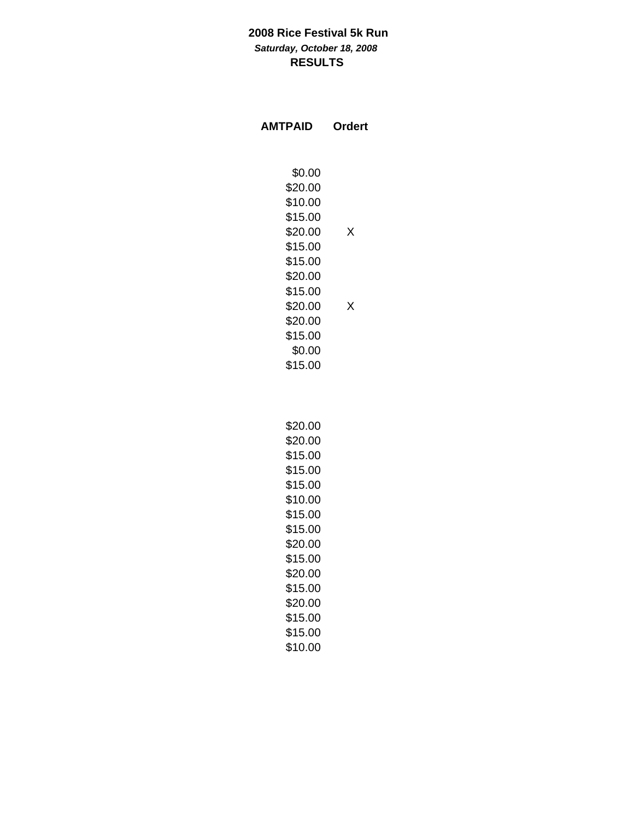| <b>AMTPAID</b>     | Ordert |
|--------------------|--------|
| \$0.00             |        |
| \$20.00            |        |
| \$10.00            |        |
| \$15.00            |        |
| \$20.00<br>\$15.00 | Χ      |
| \$15.00            |        |
| \$20.00            |        |
| \$15.00            |        |
| \$20.00            | X      |
| \$20.00            |        |
| \$15.00            |        |
| \$0.00             |        |
| \$15.00            |        |
|                    |        |
| \$20.00            |        |
| \$20.00            |        |
| \$15.00            |        |
| \$15.00            |        |
| \$15.00            |        |
| \$10.00            |        |
| \$15.00            |        |
| \$15.00            |        |
| \$20.00            |        |
| \$15.00            |        |
| \$20.00<br>\$15.00 |        |
| \$20.00            |        |
| \$15.00            |        |
| \$15.00            |        |
| \$10.00            |        |
|                    |        |